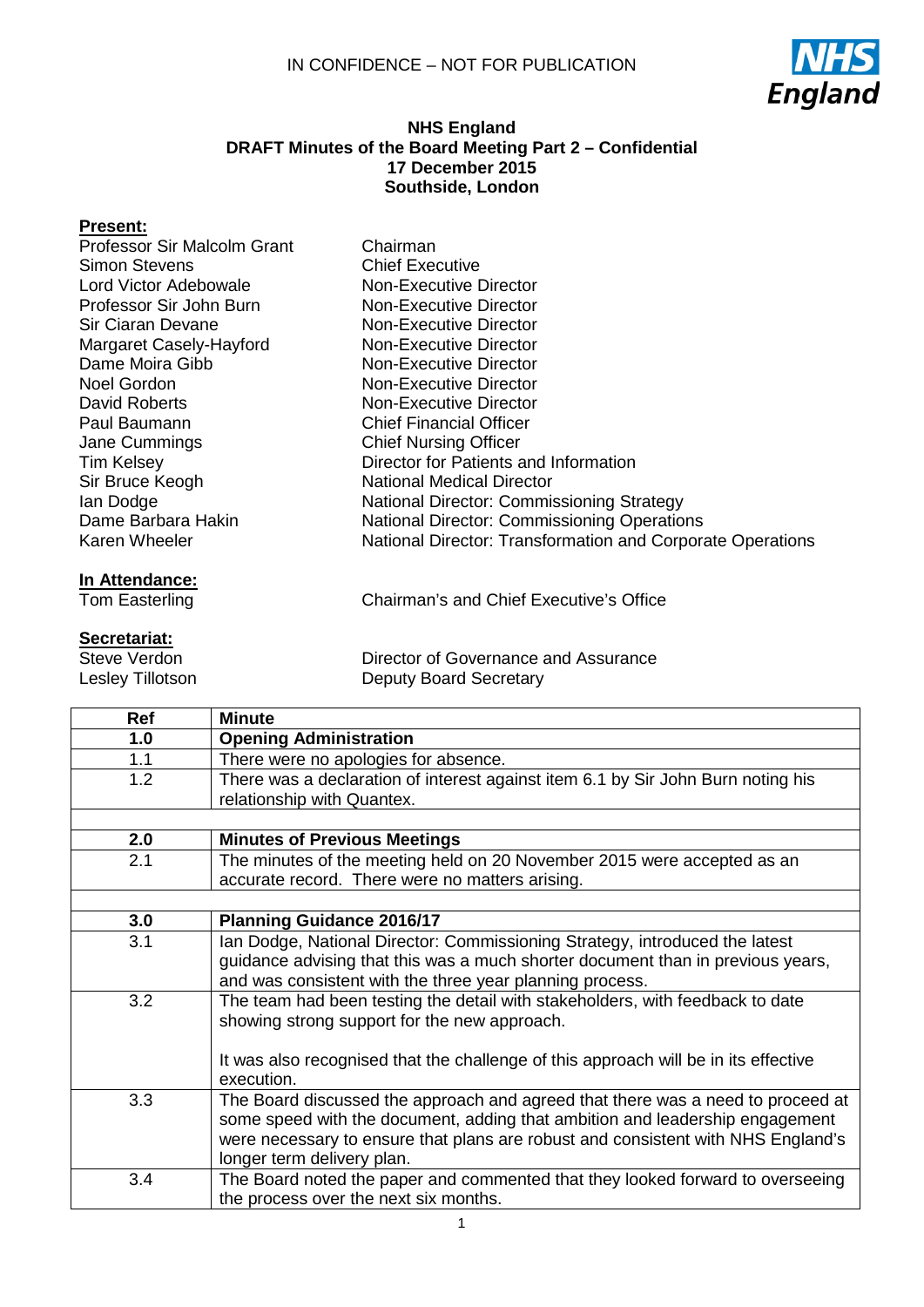

### **NHS England DRAFT Minutes of the Board Meeting Part 2 – Confidential 17 December 2015 Southside, London**

### **Present:**

| Professor Sir Malcolm Grant | Chairman                                                   |
|-----------------------------|------------------------------------------------------------|
| <b>Simon Stevens</b>        | <b>Chief Executive</b>                                     |
| Lord Victor Adebowale       | Non-Executive Director                                     |
| Professor Sir John Burn     | Non-Executive Director                                     |
| Sir Ciaran Devane           | Non-Executive Director                                     |
| Margaret Casely-Hayford     | Non-Executive Director                                     |
| Dame Moira Gibb             | Non-Executive Director                                     |
| Noel Gordon                 | Non-Executive Director                                     |
| David Roberts               | Non-Executive Director                                     |
| Paul Baumann                | <b>Chief Financial Officer</b>                             |
| Jane Cummings               | <b>Chief Nursing Officer</b>                               |
| <b>Tim Kelsey</b>           | Director for Patients and Information                      |
| Sir Bruce Keogh             | National Medical Director                                  |
| lan Dodge                   | <b>National Director: Commissioning Strategy</b>           |
| Dame Barbara Hakin          | <b>National Director: Commissioning Operations</b>         |
| Karen Wheeler               | National Director: Transformation and Corporate Operations |

# **In Attendance:**<br>Tom Easterling

## **Secretariat:**

Steve Verdon Lesley Tillotson Chairman's and Chief Executive's Office

Director of Governance and Assurance Deputy Board Secretary

| Ref | <b>Minute</b>                                                                       |
|-----|-------------------------------------------------------------------------------------|
| 1.0 | <b>Opening Administration</b>                                                       |
| 1.1 | There were no apologies for absence.                                                |
| 1.2 | There was a declaration of interest against item 6.1 by Sir John Burn noting his    |
|     | relationship with Quantex.                                                          |
|     |                                                                                     |
| 2.0 | <b>Minutes of Previous Meetings</b>                                                 |
| 2.1 | The minutes of the meeting held on 20 November 2015 were accepted as an             |
|     | accurate record. There were no matters arising.                                     |
|     |                                                                                     |
| 3.0 | <b>Planning Guidance 2016/17</b>                                                    |
| 3.1 | Ian Dodge, National Director: Commissioning Strategy, introduced the latest         |
|     | guidance advising that this was a much shorter document than in previous years,     |
|     | and was consistent with the three year planning process.                            |
| 3.2 | The team had been testing the detail with stakeholders, with feedback to date       |
|     | showing strong support for the new approach.                                        |
|     |                                                                                     |
|     | It was also recognised that the challenge of this approach will be in its effective |
|     | execution.                                                                          |
| 3.3 | The Board discussed the approach and agreed that there was a need to proceed at     |
|     | some speed with the document, adding that ambition and leadership engagement        |
|     | were necessary to ensure that plans are robust and consistent with NHS England's    |
|     | longer term delivery plan.                                                          |
| 3.4 | The Board noted the paper and commented that they looked forward to overseeing      |
|     | the process over the next six months.                                               |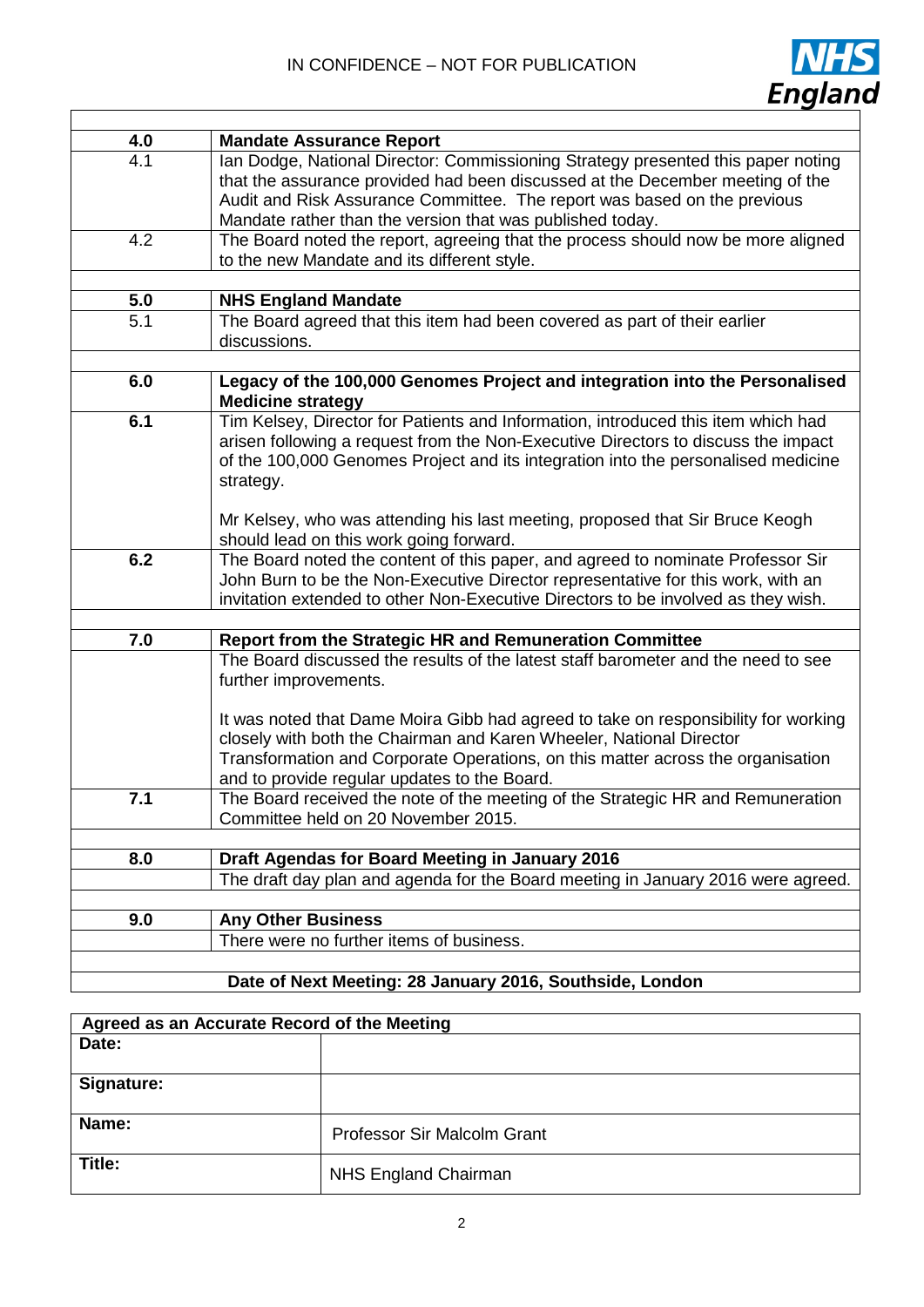$\Gamma$ 



| 4.0 | <b>Mandate Assurance Report</b>                                                                                                                                                                                                                                                                            |
|-----|------------------------------------------------------------------------------------------------------------------------------------------------------------------------------------------------------------------------------------------------------------------------------------------------------------|
| 4.1 | Ian Dodge, National Director: Commissioning Strategy presented this paper noting<br>that the assurance provided had been discussed at the December meeting of the<br>Audit and Risk Assurance Committee. The report was based on the previous<br>Mandate rather than the version that was published today. |
| 4.2 | The Board noted the report, agreeing that the process should now be more aligned<br>to the new Mandate and its different style.                                                                                                                                                                            |
| 5.0 | <b>NHS England Mandate</b>                                                                                                                                                                                                                                                                                 |
| 5.1 | The Board agreed that this item had been covered as part of their earlier<br>discussions.                                                                                                                                                                                                                  |
| 6.0 | Legacy of the 100,000 Genomes Project and integration into the Personalised<br><b>Medicine strategy</b>                                                                                                                                                                                                    |
| 6.1 | Tim Kelsey, Director for Patients and Information, introduced this item which had<br>arisen following a request from the Non-Executive Directors to discuss the impact<br>of the 100,000 Genomes Project and its integration into the personalised medicine<br>strategy.                                   |
|     | Mr Kelsey, who was attending his last meeting, proposed that Sir Bruce Keogh<br>should lead on this work going forward.                                                                                                                                                                                    |
| 6.2 | The Board noted the content of this paper, and agreed to nominate Professor Sir<br>John Burn to be the Non-Executive Director representative for this work, with an<br>invitation extended to other Non-Executive Directors to be involved as they wish.                                                   |
| 7.0 | Report from the Strategic HR and Remuneration Committee                                                                                                                                                                                                                                                    |
|     | The Board discussed the results of the latest staff barometer and the need to see<br>further improvements.                                                                                                                                                                                                 |
|     | It was noted that Dame Moira Gibb had agreed to take on responsibility for working<br>closely with both the Chairman and Karen Wheeler, National Director<br>Transformation and Corporate Operations, on this matter across the organisation<br>and to provide regular updates to the Board.               |
| 7.1 | The Board received the note of the meeting of the Strategic HR and Remuneration<br>Committee held on 20 November 2015.                                                                                                                                                                                     |
| 8.0 | Draft Agendas for Board Meeting in January 2016                                                                                                                                                                                                                                                            |
|     | The draft day plan and agenda for the Board meeting in January 2016 were agreed.                                                                                                                                                                                                                           |
| 9.0 |                                                                                                                                                                                                                                                                                                            |
|     | <b>Any Other Business</b><br>There were no further items of business.                                                                                                                                                                                                                                      |
|     |                                                                                                                                                                                                                                                                                                            |
|     | Date of Next Meeting: 28 January 2016, Southside, London                                                                                                                                                                                                                                                   |

## **Date of Next Meeting: 28 January 2016, Southside, London**

| Agreed as an Accurate Record of the Meeting |                             |  |
|---------------------------------------------|-----------------------------|--|
| Date:                                       |                             |  |
|                                             |                             |  |
| Signature:                                  |                             |  |
|                                             |                             |  |
| Name:                                       | Professor Sir Malcolm Grant |  |
| Title:                                      | NHS England Chairman        |  |